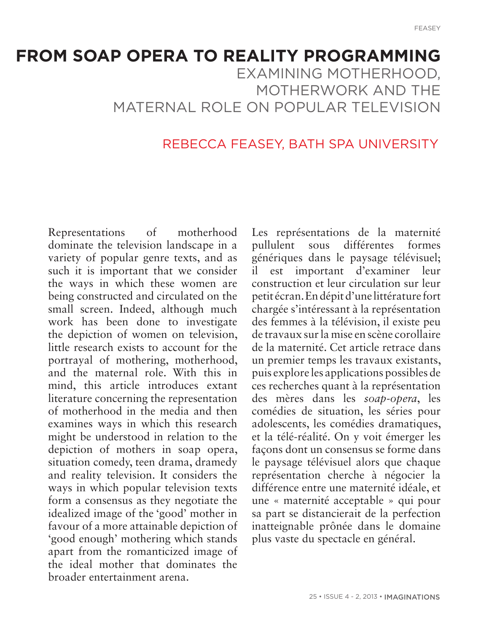# **FROM SOAP OPERA TO REALITY PROGRAMMING** EXAMINING MOTHERHOOD, MOTHERWORK AND THE MATERNAL ROLE ON POPULAR TELEVISION

#### REBECCA FEASEY, BATH SPA UNIVERSITY

Representations of motherhood dominate the television landscape in a variety of popular genre texts, and as such it is important that we consider the ways in which these women are being constructed and circulated on the small screen. Indeed, although much work has been done to investigate the depiction of women on television, little research exists to account for the portrayal of mothering, motherhood, and the maternal role. With this in mind, this article introduces extant literature concerning the representation of motherhood in the media and then examines ways in which this research might be understood in relation to the depiction of mothers in soap opera, situation comedy, teen drama, dramedy and reality television. It considers the ways in which popular television texts form a consensus as they negotiate the idealized image of the 'good' mother in favour of a more attainable depiction of 'good enough' mothering which stands apart from the romanticized image of the ideal mother that dominates the broader entertainment arena.

Les représentations de la maternité pullulent sous différentes formes génériques dans le paysage télévisuel; il est important d'examiner leur construction et leur circulation sur leur petit écran. En dépit d'une littérature fort chargée s'intéressant à la représentation des femmes à la télévision, il existe peu de travaux sur la mise en scène corollaire de la maternité. Cet article retrace dans un premier temps les travaux existants, puis explore les applications possibles de ces recherches quant à la représentation des mères dans les *soap-opera*, les comédies de situation, les séries pour adolescents, les comédies dramatiques, et la télé-réalité. On y voit émerger les façons dont un consensus se forme dans le paysage télévisuel alors que chaque représentation cherche à négocier la différence entre une maternité idéale, et une « maternité acceptable » qui pour sa part se distancierait de la perfection inatteignable prônée dans le domaine plus vaste du spectacle en général.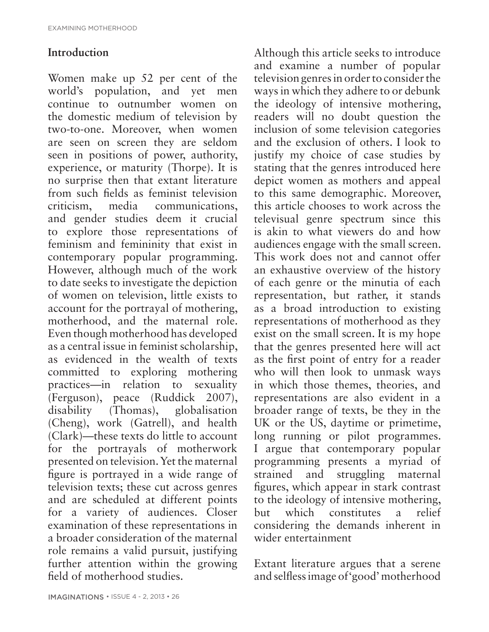### **Introduction**

Women make up 52 per cent of the world's population, and yet men continue to outnumber women on the domestic medium of television by two-to-one. Moreover, when women are seen on screen they are seldom seen in positions of power, authority, experience, or maturity (Thorpe). It is no surprise then that extant literature from such fields as feminist television criticism, media communications, and gender studies deem it crucial to explore those representations of feminism and femininity that exist in contemporary popular programming. However, although much of the work to date seeks to investigate the depiction of women on television, little exists to account for the portrayal of mothering, motherhood, and the maternal role. Even though motherhood has developed as a central issue in feminist scholarship, as evidenced in the wealth of texts committed to exploring mothering practices—in relation to sexuality (Ferguson), peace (Ruddick 2007), disability (Thomas), globalisation (Cheng), work (Gatrell), and health (Clark)—these texts do little to account for the portrayals of motherwork presented on television. Yet the maternal figure is portrayed in a wide range of television texts; these cut across genres and are scheduled at different points for a variety of audiences. Closer examination of these representations in a broader consideration of the maternal role remains a valid pursuit, justifying further attention within the growing field of motherhood studies.

Although this article seeks to introduce and examine a number of popular television genres in order to consider the ways in which they adhere to or debunk the ideology of intensive mothering, readers will no doubt question the inclusion of some television categories and the exclusion of others. I look to justify my choice of case studies by stating that the genres introduced here depict women as mothers and appeal to this same demographic. Moreover, this article chooses to work across the televisual genre spectrum since this is akin to what viewers do and how audiences engage with the small screen. This work does not and cannot offer an exhaustive overview of the history of each genre or the minutia of each representation, but rather, it stands as a broad introduction to existing representations of motherhood as they exist on the small screen. It is my hope that the genres presented here will act as the first point of entry for a reader who will then look to unmask ways in which those themes, theories, and representations are also evident in a broader range of texts, be they in the UK or the US, daytime or primetime, long running or pilot programmes. I argue that contemporary popular programming presents a myriad of strained and struggling maternal figures, which appear in stark contrast to the ideology of intensive mothering, but which constitutes a relief considering the demands inherent in wider entertainment

Extant literature argues that a serene and selfless image of 'good' motherhood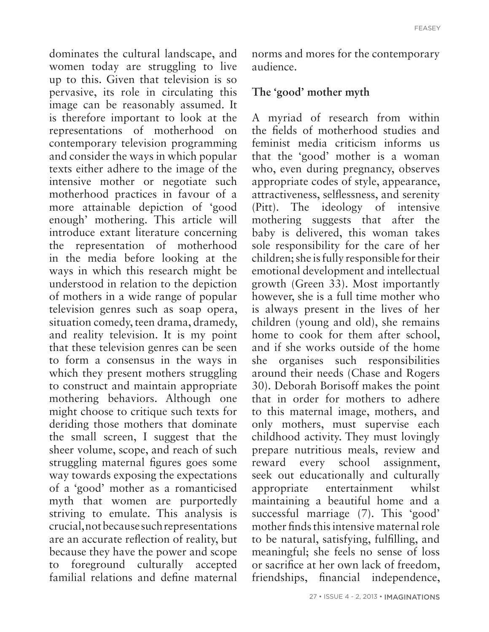dominates the cultural landscape, and women today are struggling to live up to this. Given that television is so pervasive, its role in circulating this image can be reasonably assumed. It is therefore important to look at the representations of motherhood on contemporary television programming and consider the ways in which popular texts either adhere to the image of the intensive mother or negotiate such motherhood practices in favour of a more attainable depiction of 'good enough' mothering. This article will introduce extant literature concerning the representation of motherhood in the media before looking at the ways in which this research might be understood in relation to the depiction of mothers in a wide range of popular television genres such as soap opera, situation comedy, teen drama, dramedy, and reality television. It is my point that these television genres can be seen to form a consensus in the ways in which they present mothers struggling to construct and maintain appropriate mothering behaviors. Although one might choose to critique such texts for deriding those mothers that dominate the small screen, I suggest that the sheer volume, scope, and reach of such struggling maternal figures goes some way towards exposing the expectations of a 'good' mother as a romanticised myth that women are purportedly striving to emulate. This analysis is crucial, not because such representations are an accurate reflection of reality, but because they have the power and scope to foreground culturally accepted familial relations and define maternal

norms and mores for the contemporary audience.

#### **The 'good' mother myth**

A myriad of research from within the fields of motherhood studies and feminist media criticism informs us that the 'good' mother is a woman who, even during pregnancy, observes appropriate codes of style, appearance, attractiveness, selflessness, and serenity (Pitt). The ideology of intensive mothering suggests that after the baby is delivered, this woman takes sole responsibility for the care of her children; she is fully responsible for their emotional development and intellectual growth (Green 33). Most importantly however, she is a full time mother who is always present in the lives of her children (young and old), she remains home to cook for them after school, and if she works outside of the home she organises such responsibilities around their needs (Chase and Rogers 30). Deborah Borisoff makes the point that in order for mothers to adhere to this maternal image, mothers, and only mothers, must supervise each childhood activity. They must lovingly prepare nutritious meals, review and reward every school assignment, seek out educationally and culturally appropriate entertainment whilst maintaining a beautiful home and a successful marriage (7). This 'good' mother finds this intensive maternal role to be natural, satisfying, fulfilling, and meaningful; she feels no sense of loss or sacrifice at her own lack of freedom, friendships, financial independence,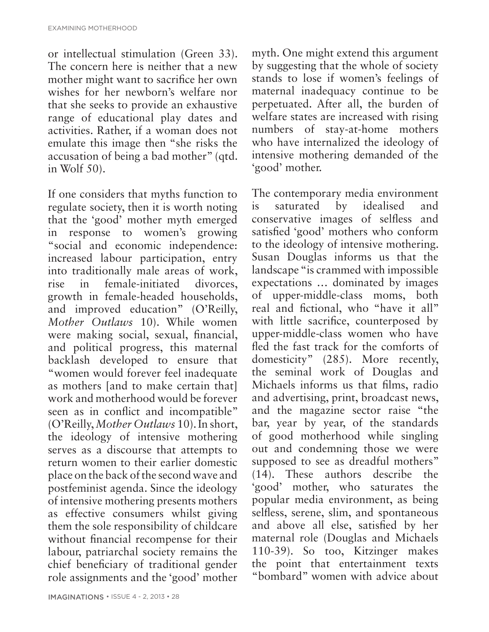EXAMINING MOTHERHOOD

or intellectual stimulation (Green 33). The concern here is neither that a new mother might want to sacrifice her own wishes for her newborn's welfare nor that she seeks to provide an exhaustive range of educational play dates and activities. Rather, if a woman does not emulate this image then "she risks the accusation of being a bad mother" (qtd. in Wolf 50).

If one considers that myths function to regulate society, then it is worth noting that the 'good' mother myth emerged in response to women's growing "social and economic independence: increased labour participation, entry into traditionally male areas of work, rise in female-initiated divorces, growth in female-headed households, and improved education" (O'Reilly, *Mother Outlaws* 10). While women were making social, sexual, financial, and political progress, this maternal backlash developed to ensure that "women would forever feel inadequate as mothers [and to make certain that] work and motherhood would be forever seen as in conflict and incompatible" (O'Reilly, *Mother Outlaws* 10). In short, the ideology of intensive mothering serves as a discourse that attempts to return women to their earlier domestic place on the back of the second wave and postfeminist agenda. Since the ideology of intensive mothering presents mothers as effective consumers whilst giving them the sole responsibility of childcare without financial recompense for their labour, patriarchal society remains the chief beneficiary of traditional gender role assignments and the 'good' mother

myth. One might extend this argument by suggesting that the whole of society stands to lose if women's feelings of maternal inadequacy continue to be perpetuated. After all, the burden of welfare states are increased with rising numbers of stay-at-home mothers who have internalized the ideology of intensive mothering demanded of the 'good' mother.

The contemporary media environment is saturated by idealised and conservative images of selfless and satisfied 'good' mothers who conform to the ideology of intensive mothering. Susan Douglas informs us that the landscape "is crammed with impossible expectations … dominated by images of upper-middle-class moms, both real and fictional, who "have it all" with little sacrifice, counterposed by upper-middle-class women who have fled the fast track for the comforts of domesticity" (285). More recently, the seminal work of Douglas and Michaels informs us that films, radio and advertising, print, broadcast news, and the magazine sector raise "the bar, year by year, of the standards of good motherhood while singling out and condemning those we were supposed to see as dreadful mothers" (14). These authors describe the 'good' mother, who saturates the popular media environment, as being selfless, serene, slim, and spontaneous and above all else, satisfied by her maternal role (Douglas and Michaels 110-39). So too, Kitzinger makes the point that entertainment texts "bombard" women with advice about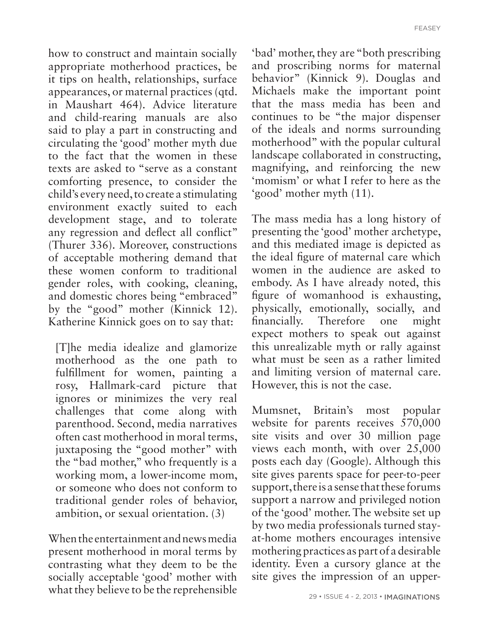FEASEY

how to construct and maintain socially appropriate motherhood practices, be it tips on health, relationships, surface appearances, or maternal practices (qtd. in Maushart 464). Advice literature and child-rearing manuals are also said to play a part in constructing and circulating the 'good' mother myth due to the fact that the women in these texts are asked to "serve as a constant comforting presence, to consider the child's every need, to create a stimulating environment exactly suited to each development stage, and to tolerate any regression and deflect all conflict" (Thurer 336). Moreover, constructions of acceptable mothering demand that these women conform to traditional gender roles, with cooking, cleaning, and domestic chores being "embraced" by the "good" mother (Kinnick 12). Katherine Kinnick goes on to say that:

[T]he media idealize and glamorize motherhood as the one path to fulfillment for women, painting a rosy, Hallmark-card picture that ignores or minimizes the very real challenges that come along with parenthood. Second, media narratives often cast motherhood in moral terms, juxtaposing the "good mother" with the "bad mother," who frequently is a working mom, a lower-income mom, or someone who does not conform to traditional gender roles of behavior, ambition, or sexual orientation. (3)

When the entertainment and news media present motherhood in moral terms by contrasting what they deem to be the socially acceptable 'good' mother with what they believe to be the reprehensible 'bad' mother, they are "both prescribing and proscribing norms for maternal behavior" (Kinnick 9). Douglas and Michaels make the important point that the mass media has been and continues to be "the major dispenser of the ideals and norms surrounding motherhood" with the popular cultural landscape collaborated in constructing, magnifying, and reinforcing the new 'momism' or what I refer to here as the 'good' mother myth (11).

The mass media has a long history of presenting the 'good' mother archetype, and this mediated image is depicted as the ideal figure of maternal care which women in the audience are asked to embody. As I have already noted, this figure of womanhood is exhausting, physically, emotionally, socially, and financially. Therefore one might expect mothers to speak out against this unrealizable myth or rally against what must be seen as a rather limited and limiting version of maternal care. However, this is not the case.

Mumsnet, Britain's most popular website for parents receives 570,000 site visits and over 30 million page views each month, with over 25,000 posts each day (Google). Although this site gives parents space for peer-to-peer support, there is a sense that these forums support a narrow and privileged notion of the 'good' mother. The website set up by two media professionals turned stayat-home mothers encourages intensive mothering practices as part of a desirable identity. Even a cursory glance at the site gives the impression of an upper-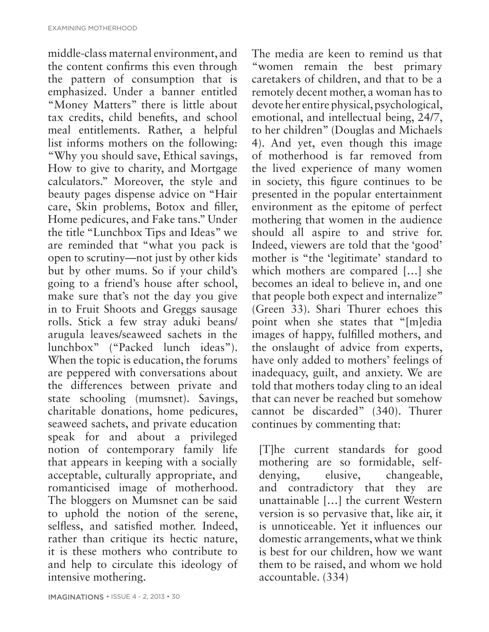middle-class maternal environment, and the content confirms this even through the pattern of consumption that is emphasized. Under a banner entitled "Money Matters" there is little about tax credits, child benefits, and school meal entitlements. Rather, a helpful list informs mothers on the following: "Why you should save, Ethical savings, How to give to charity, and Mortgage calculators." Moreover, the style and beauty pages dispense advice on "Hair care, Skin problems, Botox and filler, Home pedicures, and Fake tans." Under the title "Lunchbox Tips and Ideas" we are reminded that "what you pack is open to scrutiny—not just by other kids but by other mums. So if your child's going to a friend's house after school, make sure that's not the day you give in to Fruit Shoots and Greggs sausage rolls. Stick a few stray aduki beans/ arugula leaves/seaweed sachets in the lunchbox" ("Packed lunch ideas"). When the topic is education, the forums are peppered with conversations about the differences between private and state schooling (mumsnet). Savings, charitable donations, home pedicures, seaweed sachets, and private education speak for and about a privileged notion of contemporary family life that appears in keeping with a socially acceptable, culturally appropriate, and romanticised image of motherhood. The bloggers on Mumsnet can be said to uphold the notion of the serene, selfless, and satisfied mother. Indeed, rather than critique its hectic nature, it is these mothers who contribute to and help to circulate this ideology of intensive mothering.

The media are keen to remind us that "women remain the best primary caretakers of children, and that to be a remotely decent mother, a woman has to devote her entire physical, psychological, emotional, and intellectual being, 24/7, to her children" (Douglas and Michaels 4). And yet, even though this image of motherhood is far removed from the lived experience of many women in society, this figure continues to be presented in the popular entertainment environment as the epitome of perfect mothering that women in the audience should all aspire to and strive for. Indeed, viewers are told that the 'good' mother is "the 'legitimate' standard to which mothers are compared […] she becomes an ideal to believe in, and one that people both expect and internalize" (Green 33). Shari Thurer echoes this point when she states that "[m]edia images of happy, fulfilled mothers, and the onslaught of advice from experts, have only added to mothers' feelings of inadequacy, guilt, and anxiety. We are told that mothers today cling to an ideal that can never be reached but somehow cannot be discarded" (340). Thurer continues by commenting that:

[T]he current standards for good mothering are so formidable, selfdenying, elusive, changeable, and contradictory that they are unattainable […] the current Western version is so pervasive that, like air, it is unnoticeable. Yet it influences our domestic arrangements, what we think is best for our children, how we want them to be raised, and whom we hold accountable. (334)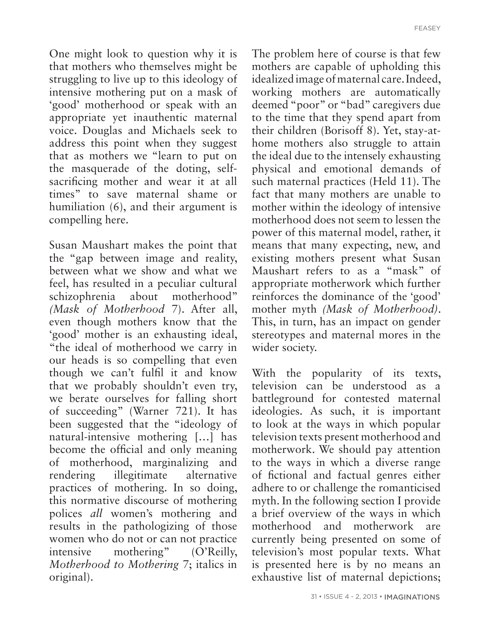One might look to question why it is that mothers who themselves might be struggling to live up to this ideology of intensive mothering put on a mask of 'good' motherhood or speak with an appropriate yet inauthentic maternal voice. Douglas and Michaels seek to address this point when they suggest that as mothers we "learn to put on the masquerade of the doting, selfsacrificing mother and wear it at all times" to save maternal shame or humiliation (6), and their argument is compelling here.

Susan Maushart makes the point that the "gap between image and reality, between what we show and what we feel, has resulted in a peculiar cultural schizophrenia about motherhood" *(Mask of Motherhood* 7). After all, even though mothers know that the 'good' mother is an exhausting ideal, "the ideal of motherhood we carry in our heads is so compelling that even though we can't fulfil it and know that we probably shouldn't even try, we berate ourselves for falling short of succeeding" (Warner 721). It has been suggested that the "ideology of natural-intensive mothering […] has become the official and only meaning of motherhood, marginalizing and rendering illegitimate alternative practices of mothering. In so doing, this normative discourse of mothering polices *all* women's mothering and results in the pathologizing of those women who do not or can not practice intensive mothering" (O'Reilly, *Motherhood to Mothering* 7; italics in original).

The problem here of course is that few mothers are capable of upholding this idealized image of maternal care. Indeed, working mothers are automatically deemed "poor" or "bad" caregivers due to the time that they spend apart from their children (Borisoff 8). Yet, stay-athome mothers also struggle to attain the ideal due to the intensely exhausting physical and emotional demands of such maternal practices (Held 11). The fact that many mothers are unable to mother within the ideology of intensive motherhood does not seem to lessen the power of this maternal model, rather, it means that many expecting, new, and existing mothers present what Susan Maushart refers to as a "mask" of appropriate motherwork which further reinforces the dominance of the 'good' mother myth *(Mask of Motherhood)*. This, in turn, has an impact on gender stereotypes and maternal mores in the wider society.

With the popularity of its texts, television can be understood as a battleground for contested maternal ideologies. As such, it is important to look at the ways in which popular television texts present motherhood and motherwork. We should pay attention to the ways in which a diverse range of fictional and factual genres either adhere to or challenge the romanticised myth. In the following section I provide a brief overview of the ways in which motherhood and motherwork are currently being presented on some of television's most popular texts. What is presented here is by no means an exhaustive list of maternal depictions;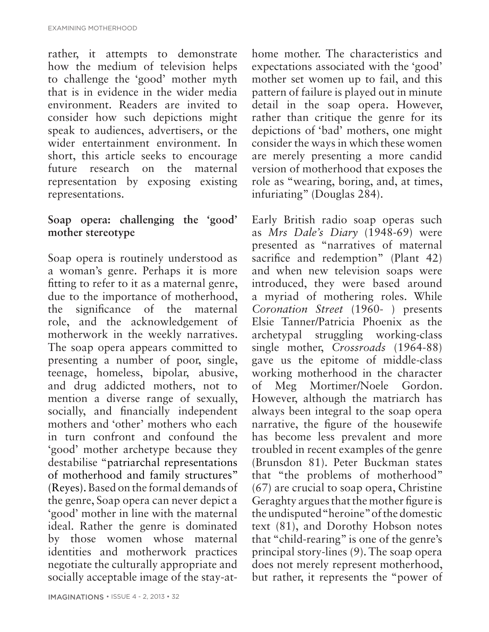rather, it attempts to demonstrate how the medium of television helps to challenge the 'good' mother myth that is in evidence in the wider media environment. Readers are invited to consider how such depictions might speak to audiences, advertisers, or the wider entertainment environment. In short, this article seeks to encourage future research on the maternal representation by exposing existing representations.

### **Soap opera: challenging the 'good' mother stereotype**

Soap opera is routinely understood as a woman's genre. Perhaps it is more fitting to refer to it as a maternal genre, due to the importance of motherhood, the significance of the maternal role, and the acknowledgement of motherwork in the weekly narratives. The soap opera appears committed to presenting a number of poor, single, teenage, homeless, bipolar, abusive, and drug addicted mothers, not to mention a diverse range of sexually, socially, and financially independent mothers and 'other' mothers who each in turn confront and confound the 'good' mother archetype because they destabilise "patriarchal representations of motherhood and family structures" (Reyes). Based on the formal demands of the genre, Soap opera can never depict a 'good' mother in line with the maternal ideal. Rather the genre is dominated by those women whose maternal identities and motherwork practices negotiate the culturally appropriate and socially acceptable image of the stay-at-

home mother. The characteristics and expectations associated with the 'good' mother set women up to fail, and this pattern of failure is played out in minute detail in the soap opera. However, rather than critique the genre for its depictions of 'bad' mothers, one might consider the ways in which these women are merely presenting a more candid version of motherhood that exposes the role as "wearing, boring, and, at times, infuriating" (Douglas 284).

Early British radio soap operas such as *Mrs Dale's Diary* (1948-69) were presented as "narratives of maternal sacrifice and redemption" (Plant 42) and when new television soaps were introduced, they were based around a myriad of mothering roles. While *Coronation Street* (1960- ) presents Elsie Tanner/Patricia Phoenix as the archetypal struggling working-class single mother, *Crossroads* (1964-88) gave us the epitome of middle-class working motherhood in the character of Meg Mortimer/Noele Gordon. However, although the matriarch has always been integral to the soap opera narrative, the figure of the housewife has become less prevalent and more troubled in recent examples of the genre (Brunsdon 81). Peter Buckman states that "the problems of motherhood" (67) are crucial to soap opera, Christine Geraghty argues that the mother figure is the undisputed "heroine" of the domestic text (81), and Dorothy Hobson notes that "child-rearing" is one of the genre's principal story-lines (9). The soap opera does not merely represent motherhood, but rather, it represents the "power of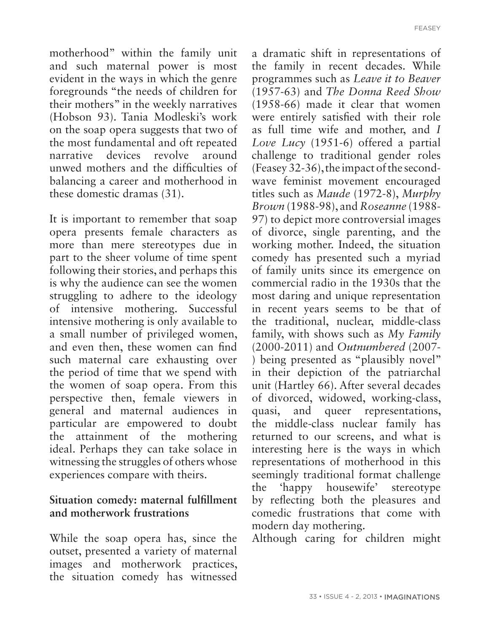motherhood" within the family unit and such maternal power is most evident in the ways in which the genre foregrounds "the needs of children for their mothers" in the weekly narratives (Hobson 93). Tania Modleski's work on the soap opera suggests that two of the most fundamental and oft repeated narrative devices revolve around unwed mothers and the difficulties of balancing a career and motherhood in these domestic dramas (31).

It is important to remember that soap opera presents female characters as more than mere stereotypes due in part to the sheer volume of time spent following their stories, and perhaps this is why the audience can see the women struggling to adhere to the ideology of intensive mothering. Successful intensive mothering is only available to a small number of privileged women, and even then, these women can find such maternal care exhausting over the period of time that we spend with the women of soap opera. From this perspective then, female viewers in general and maternal audiences in particular are empowered to doubt the attainment of the mothering ideal. Perhaps they can take solace in witnessing the struggles of others whose experiences compare with theirs.

#### **Situation comedy: maternal fulfillment and motherwork frustrations**

While the soap opera has, since the outset, presented a variety of maternal images and motherwork practices, the situation comedy has witnessed

a dramatic shift in representations of the family in recent decades. While programmes such as *Leave it to Beaver* (1957-63) and *The Donna Reed Show*  (1958-66) made it clear that women were entirely satisfied with their role as full time wife and mother, and *I Love Lucy* (1951-6) offered a partial challenge to traditional gender roles (Feasey 32-36), the impact of the secondwave feminist movement encouraged titles such as *Maude* (1972-8), *Murphy Brown* (1988-98), and *Roseanne* (1988- 97) to depict more controversial images of divorce, single parenting, and the working mother. Indeed, the situation comedy has presented such a myriad of family units since its emergence on commercial radio in the 1930s that the most daring and unique representation in recent years seems to be that of the traditional, nuclear, middle-class family, with shows such as *My Family* (2000-2011) and *Outnumbered* (2007- ) being presented as "plausibly novel" in their depiction of the patriarchal unit (Hartley 66). After several decades of divorced, widowed, working-class, quasi, and queer representations, the middle-class nuclear family has returned to our screens, and what is interesting here is the ways in which representations of motherhood in this seemingly traditional format challenge the 'happy housewife' stereotype by reflecting both the pleasures and comedic frustrations that come with modern day mothering.

Although caring for children might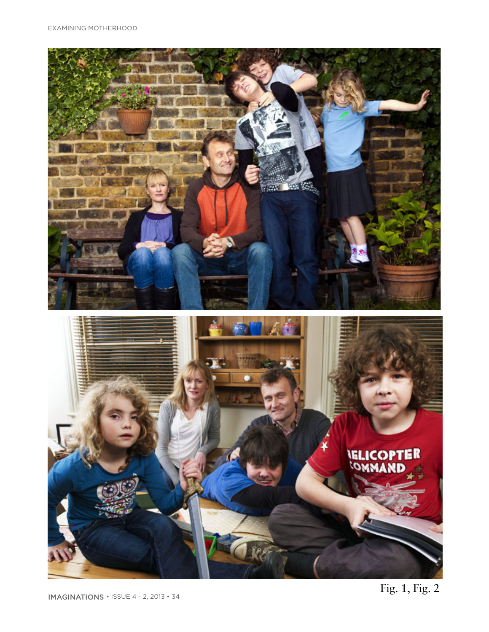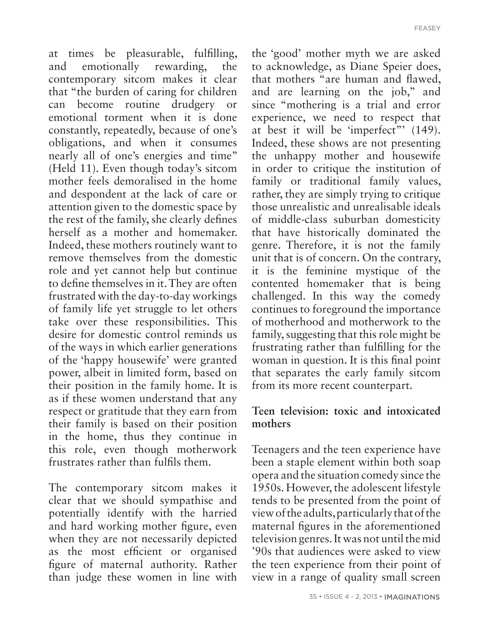at times be pleasurable, fulfilling, and emotionally rewarding, the contemporary sitcom makes it clear that "the burden of caring for children can become routine drudgery or emotional torment when it is done constantly, repeatedly, because of one's obligations, and when it consumes nearly all of one's energies and time" (Held 11). Even though today's sitcom mother feels demoralised in the home and despondent at the lack of care or attention given to the domestic space by the rest of the family, she clearly defines herself as a mother and homemaker. Indeed, these mothers routinely want to remove themselves from the domestic role and yet cannot help but continue to define themselves in it. They are often frustrated with the day-to-day workings of family life yet struggle to let others take over these responsibilities. This desire for domestic control reminds us of the ways in which earlier generations of the 'happy housewife' were granted power, albeit in limited form, based on their position in the family home. It is as if these women understand that any respect or gratitude that they earn from their family is based on their position in the home, thus they continue in this role, even though motherwork frustrates rather than fulfils them.

The contemporary sitcom makes it clear that we should sympathise and potentially identify with the harried and hard working mother figure, even when they are not necessarily depicted as the most efficient or organised figure of maternal authority. Rather than judge these women in line with the 'good' mother myth we are asked to acknowledge, as Diane Speier does, that mothers "are human and flawed, and are learning on the job," and since "mothering is a trial and error experience, we need to respect that at best it will be 'imperfect"' (149). Indeed, these shows are not presenting the unhappy mother and housewife in order to critique the institution of family or traditional family values, rather, they are simply trying to critique those unrealistic and unrealisable ideals of middle-class suburban domesticity that have historically dominated the genre. Therefore, it is not the family unit that is of concern. On the contrary, it is the feminine mystique of the contented homemaker that is being challenged. In this way the comedy continues to foreground the importance of motherhood and motherwork to the family, suggesting that this role might be frustrating rather than fulfilling for the woman in question. It is this final point that separates the early family sitcom from its more recent counterpart.

#### **Teen television: toxic and intoxicated mothers**

Teenagers and the teen experience have been a staple element within both soap opera and the situation comedy since the 1950s. However, the adolescent lifestyle tends to be presented from the point of view of the adults, particularly that of the maternal figures in the aforementioned television genres. It was not until the mid '90s that audiences were asked to view the teen experience from their point of view in a range of quality small screen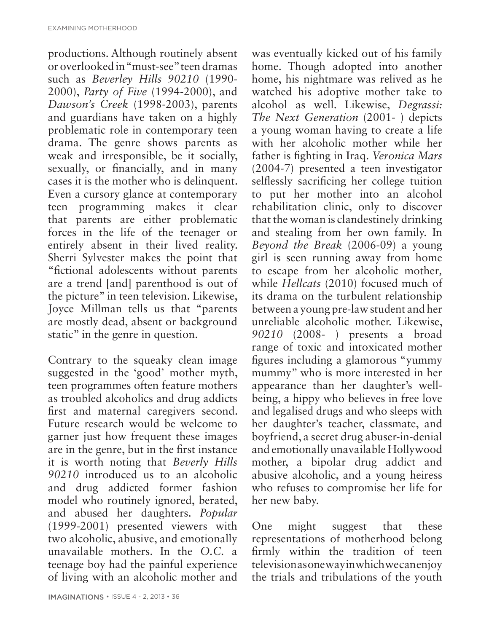productions. Although routinely absent or overlooked in "must-see" teen dramas such as *Beverley Hills 90210* (1990- 2000), *Party of Five* (1994-2000), and *Dawson's Creek* (1998-2003), parents and guardians have taken on a highly problematic role in contemporary teen drama. The genre shows parents as weak and irresponsible, be it socially, sexually, or financially, and in many cases it is the mother who is delinquent. Even a cursory glance at contemporary teen programming makes it clear that parents are either problematic forces in the life of the teenager or entirely absent in their lived reality. Sherri Sylvester makes the point that "fictional adolescents without parents are a trend [and] parenthood is out of the picture" in teen television. Likewise, Joyce Millman tells us that "parents are mostly dead, absent or background static" in the genre in question.

Contrary to the squeaky clean image suggested in the 'good' mother myth, teen programmes often feature mothers as troubled alcoholics and drug addicts first and maternal caregivers second. Future research would be welcome to garner just how frequent these images are in the genre, but in the first instance it is worth noting that *Beverly Hills 90210* introduced us to an alcoholic and drug addicted former fashion model who routinely ignored, berated, and abused her daughters. *Popular* (1999-2001) presented viewers with two alcoholic, abusive, and emotionally unavailable mothers. In the *O.C.* a teenage boy had the painful experience of living with an alcoholic mother and

IMAGINATIONS • ISSUE 4 - 2, 2013 • 36

was eventually kicked out of his family home. Though adopted into another home, his nightmare was relived as he watched his adoptive mother take to alcohol as well. Likewise, *Degrassi: The Next Generation* (2001- ) depicts a young woman having to create a life with her alcoholic mother while her father is fighting in Iraq. *Veronica Mars*  (2004-7) presented a teen investigator selflessly sacrificing her college tuition to put her mother into an alcohol rehabilitation clinic, only to discover that the woman is clandestinely drinking and stealing from her own family. In *Beyond the Break* (2006-09) a young girl is seen running away from home to escape from her alcoholic mother*,* while *Hellcats* (2010) focused much of its drama on the turbulent relationship between a young pre-law student and her unreliable alcoholic mother. Likewise, *90210* (2008- ) presents a broad range of toxic and intoxicated mother figures including a glamorous "yummy mummy" who is more interested in her appearance than her daughter's wellbeing, a hippy who believes in free love and legalised drugs and who sleeps with her daughter's teacher, classmate, and boyfriend, a secret drug abuser-in-denial and emotionally unavailable Hollywood mother, a bipolar drug addict and abusive alcoholic, and a young heiress who refuses to compromise her life for her new baby.

One might suggest that these representations of motherhood belong firmly within the tradition of teen television as one way in which we can enjoy the trials and tribulations of the youth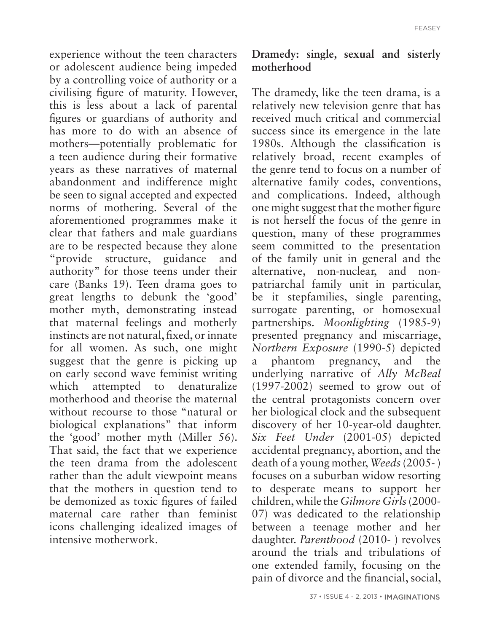experience without the teen characters or adolescent audience being impeded by a controlling voice of authority or a civilising figure of maturity. However, this is less about a lack of parental figures or guardians of authority and has more to do with an absence of mothers—potentially problematic for a teen audience during their formative years as these narratives of maternal abandonment and indifference might be seen to signal accepted and expected norms of mothering. Several of the aforementioned programmes make it clear that fathers and male guardians are to be respected because they alone "provide structure, guidance and authority" for those teens under their care (Banks 19). Teen drama goes to great lengths to debunk the 'good' mother myth, demonstrating instead that maternal feelings and motherly instincts are not natural, fixed, or innate for all women. As such, one might suggest that the genre is picking up on early second wave feminist writing which attempted to denaturalize motherhood and theorise the maternal without recourse to those "natural or biological explanations" that inform the 'good' mother myth (Miller 56). That said, the fact that we experience the teen drama from the adolescent rather than the adult viewpoint means that the mothers in question tend to be demonized as toxic figures of failed maternal care rather than feminist icons challenging idealized images of intensive motherwork.

#### **Dramedy: single, sexual and sisterly motherhood**

The dramedy, like the teen drama, is a relatively new television genre that has received much critical and commercial success since its emergence in the late 1980s. Although the classification is relatively broad, recent examples of the genre tend to focus on a number of alternative family codes, conventions, and complications. Indeed, although one might suggest that the mother figure is not herself the focus of the genre in question, many of these programmes seem committed to the presentation of the family unit in general and the alternative, non-nuclear, and nonpatriarchal family unit in particular, be it stepfamilies, single parenting, surrogate parenting, or homosexual partnerships. *Moonlighting* (1985-9) presented pregnancy and miscarriage, *Northern Exposure* (1990-5) depicted a phantom pregnancy, and the underlying narrative of *Ally McBeal* (1997-2002) seemed to grow out of the central protagonists concern over her biological clock and the subsequent discovery of her 10-year-old daughter. *Six Feet Under* (2001-05) depicted accidental pregnancy, abortion, and the death of a young mother, *Weeds* (2005- ) focuses on a suburban widow resorting to desperate means to support her children, while the *Gilmore Girls* (2000- 07) was dedicated to the relationship between a teenage mother and her daughter. *Parenthood* (2010- ) revolves around the trials and tribulations of one extended family, focusing on the pain of divorce and the financial, social,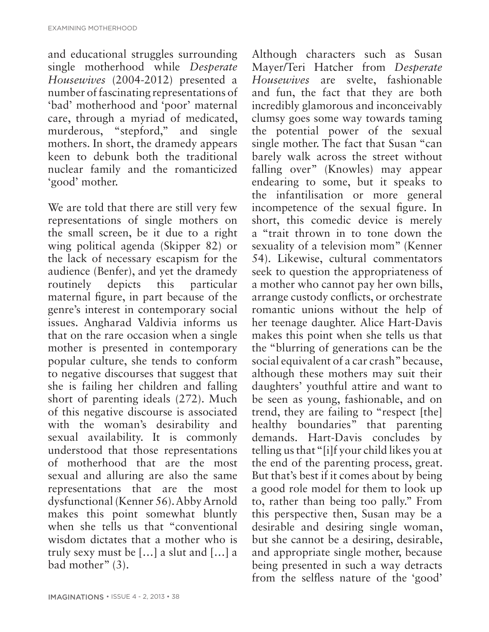and educational struggles surrounding single motherhood while *Desperate Housewives* (2004-2012) presented a number of fascinating representations of 'bad' motherhood and 'poor' maternal care, through a myriad of medicated, murderous, "stepford," and single mothers. In short, the dramedy appears keen to debunk both the traditional nuclear family and the romanticized 'good' mother.

We are told that there are still very few representations of single mothers on the small screen, be it due to a right wing political agenda (Skipper 82) or the lack of necessary escapism for the audience (Benfer), and yet the dramedy routinely depicts this particular maternal figure, in part because of the genre's interest in contemporary social issues. Angharad Valdivia informs us that on the rare occasion when a single mother is presented in contemporary popular culture, she tends to conform to negative discourses that suggest that she is failing her children and falling short of parenting ideals (272). Much of this negative discourse is associated with the woman's desirability and sexual availability. It is commonly understood that those representations of motherhood that are the most sexual and alluring are also the same representations that are the most dysfunctional (Kenner 56). Abby Arnold makes this point somewhat bluntly when she tells us that "conventional wisdom dictates that a mother who is truly sexy must be […] a slut and […] a bad mother" (3).

Although characters such as Susan Mayer/Teri Hatcher from *Desperate Housewives* are svelte, fashionable and fun, the fact that they are both incredibly glamorous and inconceivably clumsy goes some way towards taming the potential power of the sexual single mother. The fact that Susan "can barely walk across the street without falling over" (Knowles) may appear endearing to some, but it speaks to the infantilisation or more general incompetence of the sexual figure. In short, this comedic device is merely a "trait thrown in to tone down the sexuality of a television mom" (Kenner 54). Likewise, cultural commentators seek to question the appropriateness of a mother who cannot pay her own bills, arrange custody conflicts, or orchestrate romantic unions without the help of her teenage daughter. Alice Hart-Davis makes this point when she tells us that the "blurring of generations can be the social equivalent of a car crash" because, although these mothers may suit their daughters' youthful attire and want to be seen as young, fashionable, and on trend, they are failing to "respect [the] healthy boundaries" that parenting demands. Hart-Davis concludes by telling us that "[i]f your child likes you at the end of the parenting process, great. But that's best if it comes about by being a good role model for them to look up to, rather than being too pally." From this perspective then, Susan may be a desirable and desiring single woman, but she cannot be a desiring, desirable, and appropriate single mother, because being presented in such a way detracts from the selfless nature of the 'good'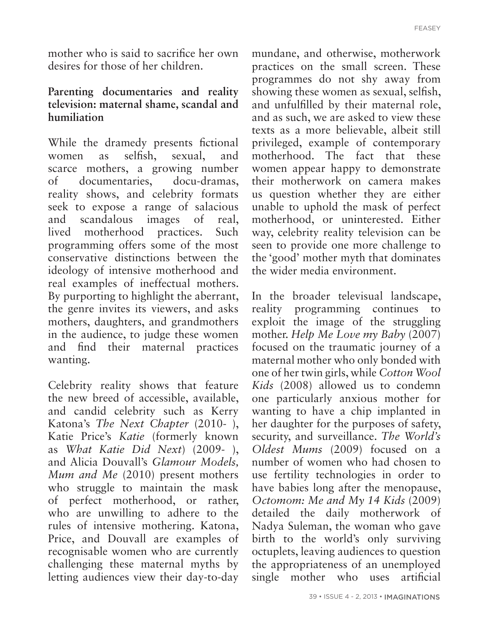mother who is said to sacrifice her own desires for those of her children.

#### **Parenting documentaries and reality television: maternal shame, scandal and humiliation**

While the dramedy presents fictional women as selfish, sexual, and scarce mothers, a growing number of documentaries, docu-dramas, reality shows, and celebrity formats seek to expose a range of salacious and scandalous images of real, lived motherhood practices. Such programming offers some of the most conservative distinctions between the ideology of intensive motherhood and real examples of ineffectual mothers. By purporting to highlight the aberrant, the genre invites its viewers, and asks mothers, daughters, and grandmothers in the audience, to judge these women and find their maternal practices wanting.

Celebrity reality shows that feature the new breed of accessible, available, and candid celebrity such as Kerry Katona's *The Next Chapter* (2010- ), Katie Price's *Katie* (formerly known as *What Katie Did Next*) (2009- ), and Alicia Douvall's *Glamour Models, Mum and Me* (2010) present mothers who struggle to maintain the mask of perfect motherhood, or rather, who are unwilling to adhere to the rules of intensive mothering. Katona, Price, and Douvall are examples of recognisable women who are currently challenging these maternal myths by letting audiences view their day-to-day mundane, and otherwise, motherwork practices on the small screen. These programmes do not shy away from showing these women as sexual, selfish, and unfulfilled by their maternal role, and as such, we are asked to view these texts as a more believable, albeit still privileged, example of contemporary motherhood. The fact that these women appear happy to demonstrate their motherwork on camera makes us question whether they are either unable to uphold the mask of perfect motherhood, or uninterested. Either way, celebrity reality television can be seen to provide one more challenge to the 'good' mother myth that dominates the wider media environment.

In the broader televisual landscape, reality programming continues to exploit the image of the struggling mother. *Help Me Love my Baby* (2007) focused on the traumatic journey of a maternal mother who only bonded with one of her twin girls, while *Cotton Wool Kids* (2008) allowed us to condemn one particularly anxious mother for wanting to have a chip implanted in her daughter for the purposes of safety, security, and surveillance. *The World's Oldest Mums* (2009) focused on a number of women who had chosen to use fertility technologies in order to have babies long after the menopause, *Octomom: Me and My 14 Kids* (2009) detailed the daily motherwork of Nadya Suleman, the woman who gave birth to the world's only surviving octuplets, leaving audiences to question the appropriateness of an unemployed single mother who uses artificial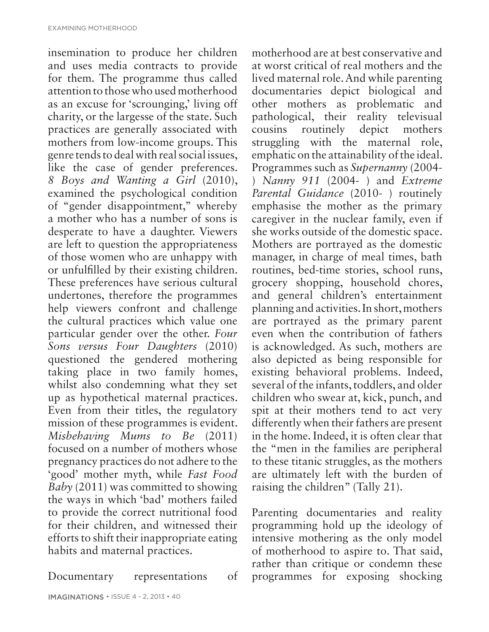insemination to produce her children and uses media contracts to provide for them. The programme thus called attention to those who used motherhood as an excuse for 'scrounging,' living off charity, or the largesse of the state. Such practices are generally associated with mothers from low-income groups. This genre tends to deal with real social issues, like the case of gender preferences. *8 Boys and Wanting a Girl* (2010), examined the psychological condition of "gender disappointment," whereby a mother who has a number of sons is desperate to have a daughter. Viewers are left to question the appropriateness of those women who are unhappy with or unfulfilled by their existing children. These preferences have serious cultural undertones, therefore the programmes help viewers confront and challenge the cultural practices which value one particular gender over the other. *Four Sons versus Four Daughters* (2010) questioned the gendered mothering taking place in two family homes, whilst also condemning what they set up as hypothetical maternal practices. Even from their titles, the regulatory mission of these programmes is evident. *Misbehaving Mums to Be* (2011) focused on a number of mothers whose pregnancy practices do not adhere to the 'good' mother myth, while *Fast Food Baby* (2011) was committed to showing the ways in which 'bad' mothers failed to provide the correct nutritional food for their children, and witnessed their efforts to shift their inappropriate eating habits and maternal practices.

Documentary representations of

IMAGINATIONS • ISSUE 4 - 2, 2013 • 40

motherhood are at best conservative and at worst critical of real mothers and the lived maternal role. And while parenting documentaries depict biological and other mothers as problematic and pathological, their reality televisual cousins routinely depict mothers struggling with the maternal role, emphatic on the attainability of the ideal. Programmes such as *Supernanny* (2004- ) *Nanny 911* (2004- ) and *Extreme Parental Guidance* (2010- ) routinely emphasise the mother as the primary caregiver in the nuclear family, even if she works outside of the domestic space. Mothers are portrayed as the domestic manager, in charge of meal times, bath routines, bed-time stories, school runs, grocery shopping, household chores, and general children's entertainment planning and activities. In short, mothers are portrayed as the primary parent even when the contribution of fathers is acknowledged. As such, mothers are also depicted as being responsible for existing behavioral problems. Indeed, several of the infants, toddlers, and older children who swear at, kick, punch, and spit at their mothers tend to act very differently when their fathers are present in the home. Indeed, it is often clear that the "men in the families are peripheral to these titanic struggles, as the mothers are ultimately left with the burden of raising the children" (Tally 21).

Parenting documentaries and reality programming hold up the ideology of intensive mothering as the only model of motherhood to aspire to. That said, rather than critique or condemn these programmes for exposing shocking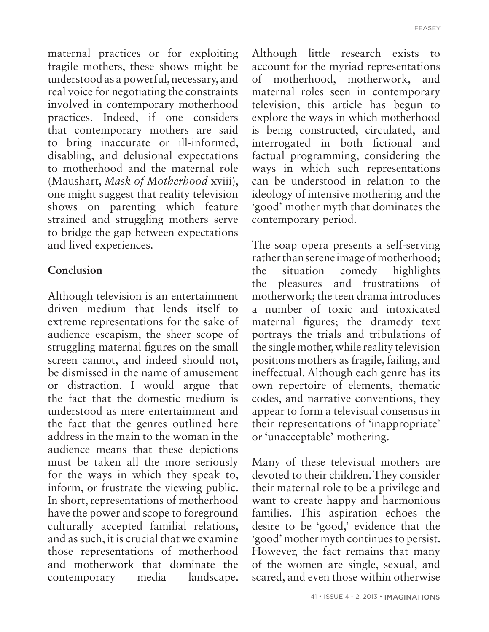maternal practices or for exploiting fragile mothers, these shows might be understood as a powerful, necessary, and real voice for negotiating the constraints involved in contemporary motherhood practices. Indeed, if one considers that contemporary mothers are said to bring inaccurate or ill-informed, disabling, and delusional expectations to motherhood and the maternal role (Maushart, *Mask of Motherhood* xviii), one might suggest that reality television shows on parenting which feature strained and struggling mothers serve to bridge the gap between expectations and lived experiences.

#### **Conclusion**

Although television is an entertainment driven medium that lends itself to extreme representations for the sake of audience escapism, the sheer scope of struggling maternal figures on the small screen cannot, and indeed should not, be dismissed in the name of amusement or distraction. I would argue that the fact that the domestic medium is understood as mere entertainment and the fact that the genres outlined here address in the main to the woman in the audience means that these depictions must be taken all the more seriously for the ways in which they speak to, inform, or frustrate the viewing public. In short, representations of motherhood have the power and scope to foreground culturally accepted familial relations, and as such, it is crucial that we examine those representations of motherhood and motherwork that dominate the contemporary media landscape.

Although little research exists to account for the myriad representations of motherhood, motherwork, and maternal roles seen in contemporary television, this article has begun to explore the ways in which motherhood is being constructed, circulated, and interrogated in both fictional and factual programming, considering the ways in which such representations can be understood in relation to the ideology of intensive mothering and the 'good' mother myth that dominates the contemporary period.

The soap opera presents a self-serving rather than serene image of motherhood; the situation comedy highlights the pleasures and frustrations of motherwork; the teen drama introduces a number of toxic and intoxicated maternal figures; the dramedy text portrays the trials and tribulations of the single mother, while reality television positions mothers as fragile, failing, and ineffectual. Although each genre has its own repertoire of elements, thematic codes, and narrative conventions, they appear to form a televisual consensus in their representations of 'inappropriate' or 'unacceptable' mothering.

Many of these televisual mothers are devoted to their children. They consider their maternal role to be a privilege and want to create happy and harmonious families. This aspiration echoes the desire to be 'good,' evidence that the 'good' mother myth continues to persist. However, the fact remains that many of the women are single, sexual, and scared, and even those within otherwise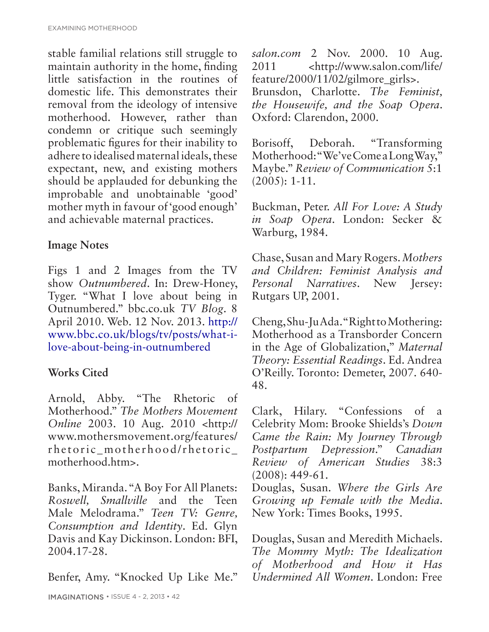stable familial relations still struggle to maintain authority in the home, finding little satisfaction in the routines of domestic life. This demonstrates their removal from the ideology of intensive motherhood. However, rather than condemn or critique such seemingly problematic figures for their inability to adhere to idealised maternal ideals, these expectant, new, and existing mothers should be applauded for debunking the improbable and unobtainable 'good' mother myth in favour of 'good enough' and achievable maternal practices.

## **Image Notes**

Figs 1 and 2 Images from the TV show *Outnumbered*. In: Drew-Honey, Tyger. "What I love about being in Outnumbered." bbc.co.uk *TV Blog*. 8 April 2010. Web. 12 Nov. 2013. http:// www.bbc.co.uk/blogs/tv/posts/what-ilove-about-being-in-outnumbered

# **Works Cited**

Arnold, Abby. "The Rhetoric of Motherhood." *The Mothers Movement Online* 2003. 10 Aug. 2010 <http:// www.mothersmovement.org/features/ rhetoric\_motherhood/rhetoric\_ motherhood.htm>.

Banks, Miranda. "A Boy For All Planets: *Roswell, Smallville* and the Teen Male Melodrama." *Teen TV: Genre, Consumption and Identity*. Ed. Glyn Davis and Kay Dickinson. London: BFI, 2004.17-28.

Benfer, Amy. "Knocked Up Like Me."

*salon.com* 2 Nov. 2000. 10 Aug. 2011 <http://www.salon.com/life/ feature/2000/11/02/gilmore\_girls>. Brunsdon, Charlotte. *The Feminist, the Housewife, and the Soap Opera*. Oxford: Clarendon, 2000.

Borisoff, Deborah. "Transforming Motherhood: "We've Come a Long Way," Maybe." *Review of Communication* 5:1 (2005): 1-11.

Buckman, Peter. *All For Love: A Study in Soap Opera*. London: Secker & Warburg, 1984.

Chase, Susan and Mary Rogers. *Mothers and Children: Feminist Analysis and Personal Narratives*. New Jersey: Rutgars UP, 2001.

Cheng, Shu-Ju Ada. "Right to Mothering: Motherhood as a Transborder Concern in the Age of Globalization," *Maternal Theory: Essential Readings*. Ed. Andrea O'Reilly. Toronto: Demeter, 2007. 640- 48.

Clark, Hilary. "Confessions of a Celebrity Mom: Brooke Shields's *Down Came the Rain: My Journey Through Postpartum Depression*." *Canadian Review of American Studies* 38:3 (2008): 449-61.

Douglas, Susan. *Where the Girls Are Growing up Female with the Media*. New York: Times Books, 1995.

Douglas, Susan and Meredith Michaels. *The Mommy Myth: The Idealization of Motherhood and How it Has Undermined All Women*. London: Free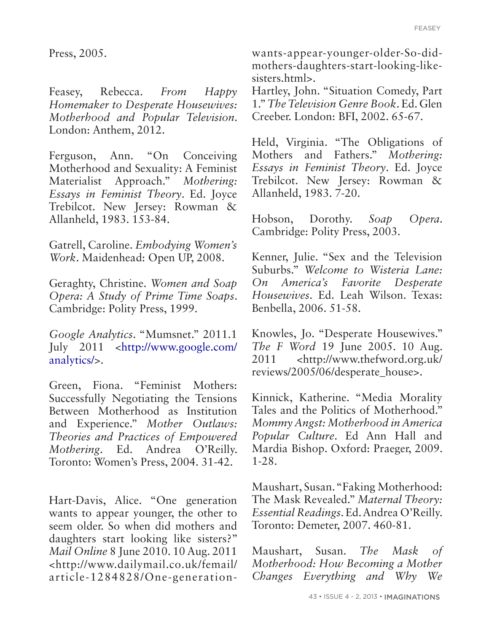Press, 2005.

Feasey, Rebecca. *From Happy Homemaker to Desperate Housewives: Motherhood and Popular Television*. London: Anthem, 2012.

Ferguson, Ann. "On Conceiving Motherhood and Sexuality: A Feminist Materialist Approach." *Mothering: Essays in Feminist Theory*. Ed. Joyce Trebilcot. New Jersey: Rowman & Allanheld, 1983. 153-84.

Gatrell, Caroline. *Embodying Women's Work*. Maidenhead: Open UP, 2008.

Geraghty, Christine. *Women and Soap Opera: A Study of Prime Time Soaps*. Cambridge: Polity Press, 1999.

*Google Analytics*. "Mumsnet." 2011.1 July 2011 <http://www.google.com/ analytics/>.

Green, Fiona. "Feminist Mothers: Successfully Negotiating the Tensions Between Motherhood as Institution and Experience." *Mother Outlaws: Theories and Practices of Empowered Mothering*. Ed. Andrea O'Reilly. Toronto: Women's Press, 2004. 31-42.

Hart-Davis, Alice. "One generation wants to appear younger, the other to seem older. So when did mothers and daughters start looking like sisters?" *Mail Online* 8 June 2010. 10 Aug. 2011 <http://www.dailymail.co.uk/femail/ article-1284828/One-generationwants-appear-younger-older-So-didmothers-daughters-start-looking-likesisters.html>.

Hartley, John. "Situation Comedy, Part 1." *The Television Genre Book*. Ed. Glen Creeber. London: BFI, 2002. 65-67.

Held, Virginia. "The Obligations of Mothers and Fathers." *Mothering: Essays in Feminist Theory*. Ed. Joyce Trebilcot. New Jersey: Rowman & Allanheld, 1983. 7-20.

Hobson, Dorothy. *Soap Opera*. Cambridge: Polity Press, 2003.

Kenner, Julie. "Sex and the Television Suburbs." *Welcome to Wisteria Lane: On America's Favorite Desperate Housewives*. Ed. Leah Wilson. Texas: Benbella, 2006. 51-58.

Knowles, Jo. "Desperate Housewives." *The F Word* 19 June 2005. 10 Aug. 2011 <http://www.thefword.org.uk/ reviews/2005/06/desperate\_house>.

Kinnick, Katherine. "Media Morality Tales and the Politics of Motherhood." *Mommy Angst: Motherhood in America Popular Culture*. Ed Ann Hall and Mardia Bishop. Oxford: Praeger, 2009. 1-28.

Maushart, Susan. "Faking Motherhood: The Mask Revealed." *Maternal Theory: Essential Readings*. Ed. Andrea O'Reilly. Toronto: Demeter, 2007. 460-81.

Maushart, Susan. *The Mask of Motherhood: How Becoming a Mother Changes Everything and Why We*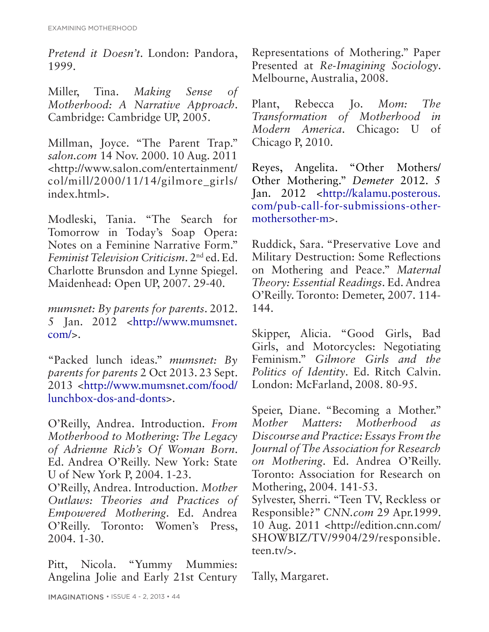*Pretend it Doesn't*. London: Pandora, 1999.

Miller, Tina. *Making Sense of Motherhood: A Narrative Approach*. Cambridge: Cambridge UP, 2005.

Millman, Joyce. "The Parent Trap." *salon.com* 14 Nov. 2000. 10 Aug. 2011 <http://www.salon.com/entertainment/ col/mill/2000/11/14/gilmore\_girls/ index.html>.

Modleski, Tania. "The Search for Tomorrow in Today's Soap Opera: Notes on a Feminine Narrative Form." *Feminist Television Criticism*. 2nd ed. Ed. Charlotte Brunsdon and Lynne Spiegel. Maidenhead: Open UP, 2007. 29-40.

*mumsnet: By parents for parents*. 2012. 5 Jan. 2012 <http://www.mumsnet.  $com/s$ .

"Packed lunch ideas." *mumsnet: By parents for parents* 2 Oct 2013. 23 Sept. 2013 <http://www.mumsnet.com/food/ lunchbox-dos-and-donts>.

O'Reilly, Andrea. Introduction. *From Motherhood to Mothering: The Legacy of Adrienne Rich's Of Woman Born*. Ed. Andrea O'Reilly. New York: State U of New York P, 2004. 1-23.

O'Reilly, Andrea. Introduction. *Mother Outlaws: Theories and Practices of Empowered Mothering*. Ed. Andrea O'Reilly. Toronto: Women's Press, 2004. 1-30.

Pitt, Nicola. "Yummy Mummies: Angelina Jolie and Early 21st Century Representations of Mothering." Paper Presented at *Re-Imagining Sociology*. Melbourne, Australia, 2008.

Plant, Rebecca Jo. *Mom: The Transformation of Motherhood in Modern America*. Chicago: U of Chicago P, 2010.

Reyes, Angelita. "Other Mothers/ Other Mothering." *Demeter* 2012. 5 Jan. 2012 <http://kalamu.posterous. com/pub-call-for-submissions-othermothersother-m>.

Ruddick, Sara. "Preservative Love and Military Destruction: Some Reflections on Mothering and Peace." *Maternal Theory: Essential Readings*. Ed. Andrea O'Reilly. Toronto: Demeter, 2007. 114- 144.

Skipper, Alicia. "Good Girls, Bad Girls, and Motorcycles: Negotiating Feminism." *Gilmore Girls and the Politics of Identity*. Ed. Ritch Calvin. London: McFarland, 2008. 80-95.

Speier, Diane. "Becoming a Mother." *Mother Matters: Motherhood as Discourse and Practice: Essays From the Journal of The Association for Research on Mothering*. Ed. Andrea O'Reilly. Toronto: Association for Research on Mothering, 2004. 141-53.

Sylvester, Sherri. "Teen TV, Reckless or Responsible?" *CNN.com* 29 Apr.1999. 10 Aug. 2011 <http://edition.cnn.com/ SHOWBIZ/TV/9904/29/responsible. teen.tv/>.

Tally, Margaret.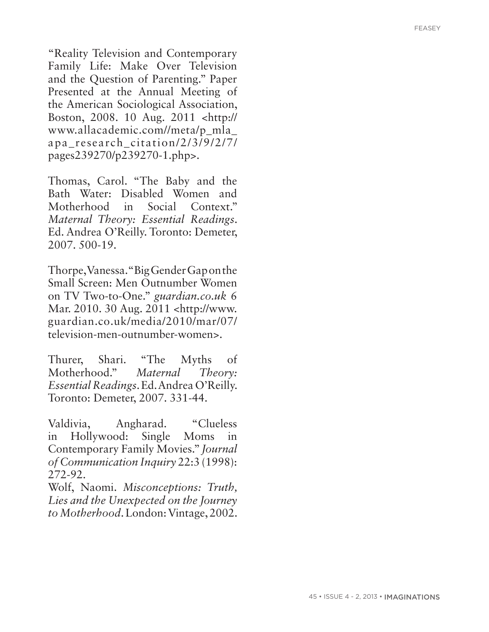"Reality Television and Contemporary Family Life: Make Over Television and the Question of Parenting." Paper Presented at the Annual Meeting of the American Sociological Association, Boston, 2008. 10 Aug. 2011 <http:// www.allacademic.com//meta/p\_mla\_ apa\_research\_citation/2/3/9/2/7/ pages239270/p239270-1.php>.

Thomas, Carol. "The Baby and the Bath Water: Disabled Women and Motherhood in Social Context." *Maternal Theory: Essential Readings*. Ed. Andrea O'Reilly. Toronto: Demeter, 2007. 500-19.

Thorpe, Vanessa. "Big Gender Gap on the Small Screen: Men Outnumber Women on TV Two-to-One." *guardian.co.uk* 6 Mar. 2010. 30 Aug. 2011 <http://www. guardian.co.uk/media/2010/mar/07/ television-men-outnumber-women>.

Thurer, Shari. "The Myths of Motherhood." *Maternal Theory: Essential Readings*. Ed. Andrea O'Reilly. Toronto: Demeter, 2007. 331-44.

Valdivia, Angharad. "Clueless in Hollywood: Single Moms in Contemporary Family Movies." *Journal of Communication Inquiry* 22:3 (1998): 272-92.

Wolf, Naomi. *Misconceptions: Truth, Lies and the Unexpected on the Journey to Motherhood*. London: Vintage, 2002.